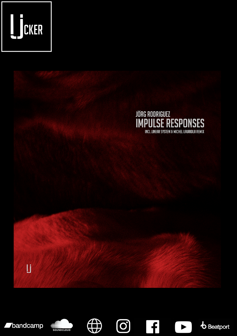

















 $\overline{f}$ 

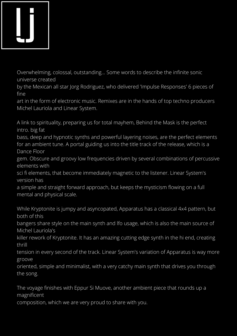

Overwhelming, colossal, outstanding... Some words to describe the infinite sonic universe created

by the Mexican all star Jorg Rodriguez, who delivered 'Impulse Responses' 6 pieces of fine

art in the form of electronic music. Remixes are in the hands of top techno producers Michel Lauriola and Linear System.

A link to spirituality, preparing us for total mayhem, Behind the Mask is the perfect intro. big fat

bass, deep and hypnotic synths and powerful layering noises, are the perfect elements for an ambient tune. A portal guiding us into the title track of the release, which is a Dance Floor

gem. Obscure and groovy low frequencies driven by several combinations of percussive elements with

sci fi elements, that become immediately magnetic to the listener. Linear System's version has

a simple and straight forward approach, but keeps the mysticism flowing on a full mental and physical scale.

While Kryptonite is jumpy and asyncopated, Apparatus has a classical 4x4 pattern, but both of this

bangers share style on the main synth and lfo usage, which is also the main source of Michel Lauriola's

killer rework of Kryptonite. It has an amazing cutting edge synth in the hi end, creating thrill

tension in every second of the track. Linear System's variation of Apparatus is way more groove

oriented, simple and minimalist, with a very catchy main synth that drives you through the song.

The voyage finishes with Eppur Si Muove, another ambient piece that rounds up a magnificent

composition, which we are very proud to share with you.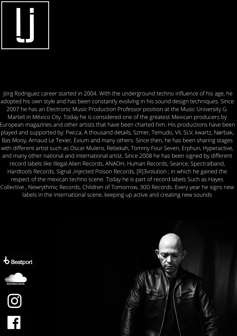

Jörg Rodriguez career started in 2004. With the underground techno influence of his age, he adopted his own style and has been constantly evolving in his sound design techniques. Since 2007 he has an Electronic Music Production Professor position at the Music University G. Martell in México City. Today he is considered one of the greatest Mexican producers by European magazines and other artists that have been charted him. His productions have been played and supported by: Pwcca, A thousand details, Szmer, Temudo, Vil, SLV, kwartz, Nørbak, Bas Mooy, Arnaud Le Texier, Exium and many others. Since then, he has been sharing stages with different artist such as Oscar Mulero, Rebekah, Tommy Four Seven, Erphun, Hyperactive, and many other national and international artist. Since 2008 he has been signed by different record labels like Illegal Alien Records, ANAOH, Human Records, Seance, Spectralband, Hardtools Records, Signal ,Injected Poison Records, [R]3volution ; in which he gained the respect of the mexican techno scene. Today he is part of record labels Such as Hayes Collective , Newrythmic Records, Children of Tomorrow, 30D Records. Every year he signs new labels in the international scene, keeping up active and creating new sounds







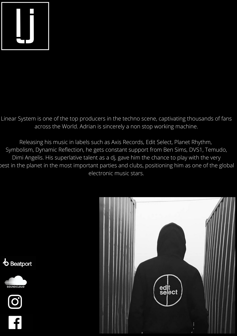

Linear System is one of the top producers in the techno scene, captivating thousands of fans across the World. Adrian is sincerely a non stop working machine.

Releasing his music in labels such as Axis Records, Edit Select, Planet Rhythm, Symbolism, Dynamic Reflection, he gets constant support from Ben Sims, DVS1, Temudo, Dimi Angelis. His superlative talent as a dj, gave him the chance to play with the very best in the planet in the most important parties and clubs, positioning him as one of the global electronic music stars.



 $\boldsymbol{b}$  Beatport